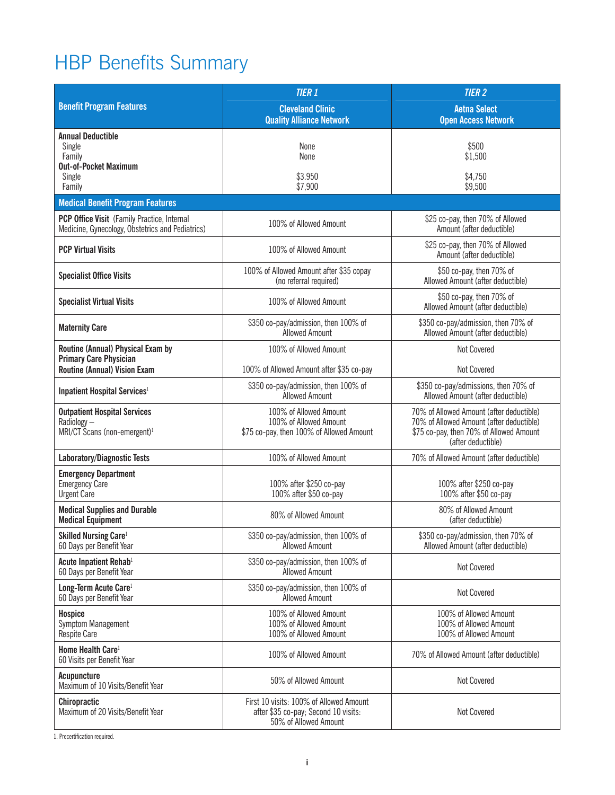# HBP Benefits Summary

|                                                                                                 | <b>TIER 1</b>                                                                                            | <b>TIER 2</b>                                                                                                                                         |  |  |
|-------------------------------------------------------------------------------------------------|----------------------------------------------------------------------------------------------------------|-------------------------------------------------------------------------------------------------------------------------------------------------------|--|--|
| <b>Benefit Program Features</b>                                                                 | <b>Cleveland Clinic</b><br><b>Quality Alliance Network</b>                                               | <b>Aetna Select</b><br><b>Open Access Network</b>                                                                                                     |  |  |
| <b>Annual Deductible</b><br>Single<br>Family<br><b>Out-of-Pocket Maximum</b>                    | None<br>None                                                                                             | \$500<br>\$1,500                                                                                                                                      |  |  |
| Single<br>Family                                                                                | \$3.950<br>\$7,900                                                                                       | \$4,750<br>\$9,500                                                                                                                                    |  |  |
| <b>Medical Benefit Program Features</b>                                                         |                                                                                                          |                                                                                                                                                       |  |  |
| PCP Office Visit (Family Practice, Internal<br>Medicine, Gynecology, Obstetrics and Pediatrics) | 100% of Allowed Amount                                                                                   | \$25 co-pay, then 70% of Allowed<br>Amount (after deductible)                                                                                         |  |  |
| <b>PCP Virtual Visits</b>                                                                       | 100% of Allowed Amount                                                                                   | \$25 co-pay, then 70% of Allowed<br>Amount (after deductible)                                                                                         |  |  |
| <b>Specialist Office Visits</b>                                                                 | 100% of Allowed Amount after \$35 copay<br>(no referral required)                                        | \$50 co-pay, then 70% of<br>Allowed Amount (after deductible)                                                                                         |  |  |
| <b>Specialist Virtual Visits</b>                                                                | 100% of Allowed Amount                                                                                   | \$50 co-pay, then 70% of<br>Allowed Amount (after deductible)                                                                                         |  |  |
| <b>Maternity Care</b>                                                                           | \$350 co-pay/admission, then 100% of<br><b>Allowed Amount</b>                                            | \$350 co-pay/admission, then 70% of<br>Allowed Amount (after deductible)                                                                              |  |  |
| Routine (Annual) Physical Exam by<br><b>Primary Care Physician</b>                              | 100% of Allowed Amount                                                                                   | <b>Not Covered</b>                                                                                                                                    |  |  |
| <b>Routine (Annual) Vision Exam</b>                                                             | 100% of Allowed Amount after \$35 co-pay                                                                 | Not Covered                                                                                                                                           |  |  |
| Inpatient Hospital Services <sup>1</sup>                                                        | \$350 co-pay/admission, then 100% of<br><b>Allowed Amount</b>                                            | \$350 co-pay/admissions, then 70% of<br>Allowed Amount (after deductible)                                                                             |  |  |
| <b>Outpatient Hospital Services</b><br>Radiology-<br>MRI/CT Scans (non-emergent) <sup>1</sup>   | 100% of Allowed Amount<br>100% of Allowed Amount<br>\$75 co-pay, then 100% of Allowed Amount             | 70% of Allowed Amount (after deductible)<br>70% of Allowed Amount (after deductible)<br>\$75 co-pay, then 70% of Allowed Amount<br>(after deductible) |  |  |
| <b>Laboratory/Diagnostic Tests</b>                                                              | 100% of Allowed Amount                                                                                   | 70% of Allowed Amount (after deductible)                                                                                                              |  |  |
| <b>Emergency Department</b><br><b>Emergency Care</b><br><b>Urgent Care</b>                      | 100% after \$250 co-pay<br>100% after \$50 co-pay                                                        | 100% after \$250 co-pay<br>100% after \$50 co-pay                                                                                                     |  |  |
| <b>Medical Supplies and Durable</b><br><b>Medical Equipment</b>                                 | 80% of Allowed Amount                                                                                    | 80% of Allowed Amount<br>(after deductible)                                                                                                           |  |  |
| Skilled Nursing Care <sup>1</sup><br>60 Days per Benefit Year                                   | \$350 co-pay/admission, then 100% of<br><b>Allowed Amount</b>                                            | \$350 co-pay/admission, then 70% of<br>Allowed Amount (after deductible)                                                                              |  |  |
| Acute Inpatient Rehab <sup>1</sup><br>60 Days per Benefit Year                                  | \$350 co-pay/admission, then 100% of<br><b>Allowed Amount</b>                                            | <b>Not Covered</b>                                                                                                                                    |  |  |
| Long-Term Acute Care <sup>1</sup><br>60 Days per Benefit Year                                   | \$350 co-pay/admission, then 100% of<br><b>Allowed Amount</b>                                            | Not Covered                                                                                                                                           |  |  |
| <b>Hospice</b><br><b>Symptom Management</b><br>Respite Care                                     | 100% of Allowed Amount<br>100% of Allowed Amount<br>100% of Allowed Amount                               | 100% of Allowed Amount<br>100% of Allowed Amount<br>100% of Allowed Amount                                                                            |  |  |
| Home Health Care <sup>1</sup><br>60 Visits per Benefit Year                                     | 100% of Allowed Amount                                                                                   | 70% of Allowed Amount (after deductible)                                                                                                              |  |  |
| Acupuncture<br>Maximum of 10 Visits/Benefit Year                                                | 50% of Allowed Amount                                                                                    | Not Covered                                                                                                                                           |  |  |
| Chiropractic<br>Maximum of 20 Visits/Benefit Year                                               | First 10 visits: 100% of Allowed Amount<br>after \$35 co-pay; Second 10 visits:<br>50% of Allowed Amount | Not Covered                                                                                                                                           |  |  |

1. Precertification required.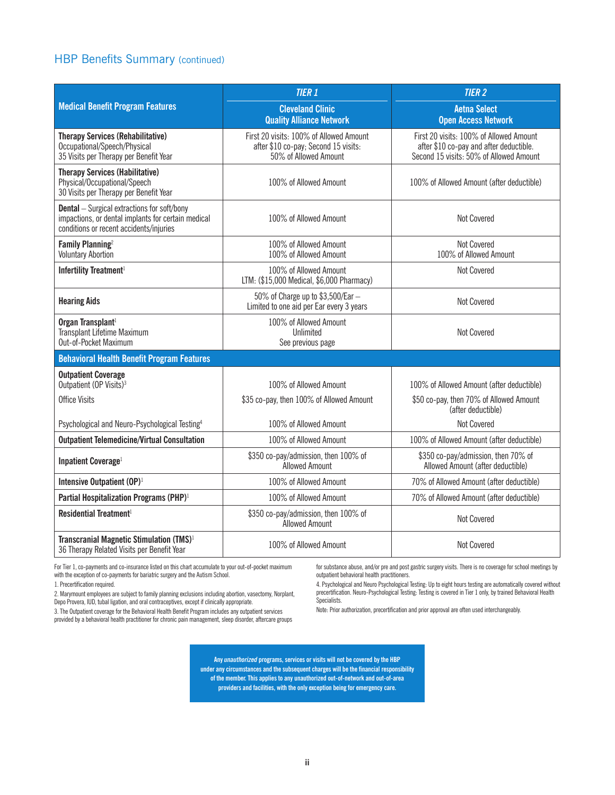#### HBP Benefits Summary (continued)

|                                                                                                                                                     | <b>TIER 1</b>                                                                                            | <b>TIER 2</b>                                                                                                                 |  |  |
|-----------------------------------------------------------------------------------------------------------------------------------------------------|----------------------------------------------------------------------------------------------------------|-------------------------------------------------------------------------------------------------------------------------------|--|--|
| <b>Medical Benefit Program Features</b>                                                                                                             | <b>Cleveland Clinic</b><br><b>Quality Alliance Network</b>                                               | <b>Aetna Select</b><br><b>Open Access Network</b>                                                                             |  |  |
| <b>Therapy Services (Rehabilitative)</b><br>Occupational/Speech/Physical<br>35 Visits per Therapy per Benefit Year                                  | First 20 visits: 100% of Allowed Amount<br>after \$10 co-pay; Second 15 visits:<br>50% of Allowed Amount | First 20 visits: 100% of Allowed Amount<br>after \$10 co-pay and after deductible.<br>Second 15 visits: 50% of Allowed Amount |  |  |
| <b>Therapy Services (Habilitative)</b><br>Physical/Occupational/Speech<br>30 Visits per Therapy per Benefit Year                                    | 100% of Allowed Amount                                                                                   | 100% of Allowed Amount (after deductible)                                                                                     |  |  |
| <b>Dental</b> - Surgical extractions for soft/bony<br>impactions, or dental implants for certain medical<br>conditions or recent accidents/injuries | 100% of Allowed Amount                                                                                   | <b>Not Covered</b>                                                                                                            |  |  |
| Family Planning <sup>2</sup><br><b>Voluntary Abortion</b>                                                                                           | 100% of Allowed Amount<br>100% of Allowed Amount                                                         | <b>Not Covered</b><br>100% of Allowed Amount                                                                                  |  |  |
| Infertility Treatment <sup>1</sup>                                                                                                                  | 100% of Allowed Amount<br>LTM: (\$15,000 Medical, \$6,000 Pharmacy)                                      | Not Covered                                                                                                                   |  |  |
| <b>Hearing Aids</b>                                                                                                                                 | 50% of Charge up to \$3,500/Ear -<br>Limited to one aid per Ear every 3 years                            | Not Covered                                                                                                                   |  |  |
| Organ Transplant <sup>1</sup><br>Transplant Lifetime Maximum<br>Out-of-Pocket Maximum                                                               | 100% of Allowed Amount<br>Unlimited<br>See previous page                                                 | <b>Not Covered</b>                                                                                                            |  |  |
| <b>Behavioral Health Benefit Program Features</b>                                                                                                   |                                                                                                          |                                                                                                                               |  |  |
| <b>Outpatient Coverage</b><br>Outpatient (OP Visits) <sup>3</sup>                                                                                   | 100% of Allowed Amount                                                                                   | 100% of Allowed Amount (after deductible)                                                                                     |  |  |
| <b>Office Visits</b>                                                                                                                                | \$35 co-pay, then 100% of Allowed Amount                                                                 | \$50 co-pay, then 70% of Allowed Amount<br>(after deductible)                                                                 |  |  |
| Psychological and Neuro-Psychological Testing <sup>4</sup>                                                                                          | 100% of Allowed Amount                                                                                   | <b>Not Covered</b>                                                                                                            |  |  |
| <b>Outpatient Telemedicine/Virtual Consultation</b>                                                                                                 | 100% of Allowed Amount                                                                                   | 100% of Allowed Amount (after deductible)                                                                                     |  |  |
| Inpatient Coverage <sup>1</sup>                                                                                                                     | \$350 co-pay/admission, then 100% of<br><b>Allowed Amount</b>                                            | \$350 co-pay/admission, then 70% of<br>Allowed Amount (after deductible)                                                      |  |  |
| Intensive Outpatient (OP) <sup>1</sup>                                                                                                              | 100% of Allowed Amount                                                                                   | 70% of Allowed Amount (after deductible)                                                                                      |  |  |
| Partial Hospitalization Programs (PHP) <sup>1</sup>                                                                                                 | 100% of Allowed Amount                                                                                   | 70% of Allowed Amount (after deductible)                                                                                      |  |  |
| Residential Treatment <sup>1</sup>                                                                                                                  | \$350 co-pay/admission, then 100% of<br><b>Allowed Amount</b>                                            | Not Covered                                                                                                                   |  |  |
| Transcranial Magnetic Stimulation (TMS) <sup>1</sup><br>36 Therapy Related Visits per Benefit Year                                                  | 100% of Allowed Amount                                                                                   | Not Covered                                                                                                                   |  |  |

For Tier 1, co-payments and co-insurance listed on this chart accumulate to your out-of-pocket maximum with the exception of co-payments for bariatric surgery and the Autism School.

1. Precertification required.

2. Marymount employees are subject to family planning exclusions including abortion, vasectomy, Norplant, Depo Provera, IUD, tubal ligation, and oral contraceptives, except if clinically appropriate.

3. The Outpatient coverage for the Behavioral Health Benefit Program includes any outpatient services provided by a behavioral health practitioner for chronic pain management, sleep disorder, aftercare groups for substance abuse, and/or pre and post gastric surgery visits. There is no coverage for school meetings by outpatient behavioral health practitioners.

4. Psychological and Neuro Psychological Testing: Up to eight hours testing are automatically covered without precertification. Neuro-Psychological Testing: Testing is covered in Tier 1 only, by trained Behavioral Health Specialists.

Note: Prior authorization, precertification and prior approval are often used interchangeably.

**Any** *unauthorized* **programs, services or visits will not be covered by the HBP under any circumstances and the subsequent charges will be the financial responsibility of the member. This applies to any unauthorized out-of-network and out-of-area**